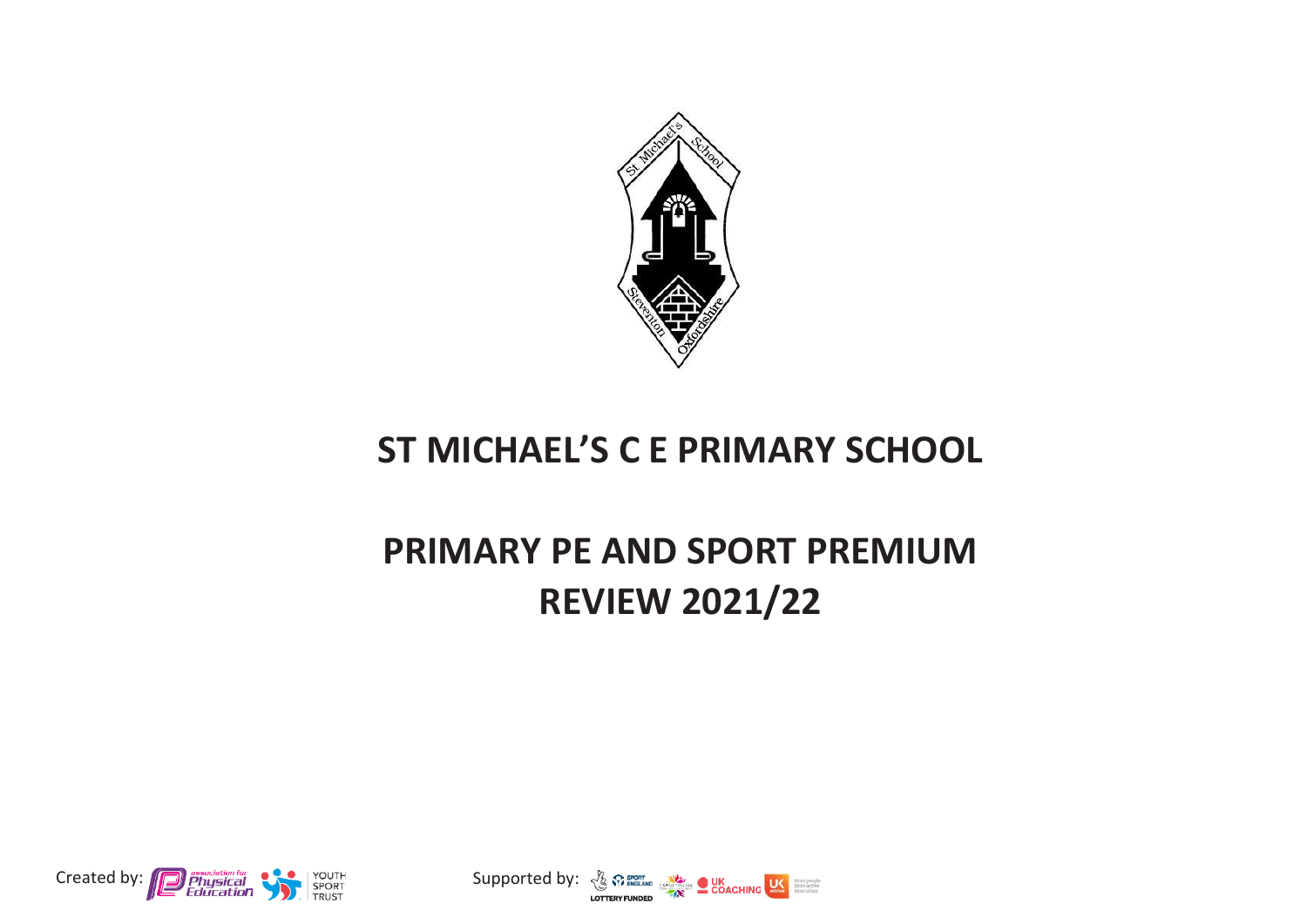

## **ST MICHAEL'S C E PRIMARY SCHOOL**

## **PRIMARY PE AND SPORT PREMIUM REVIEW 2021/22**



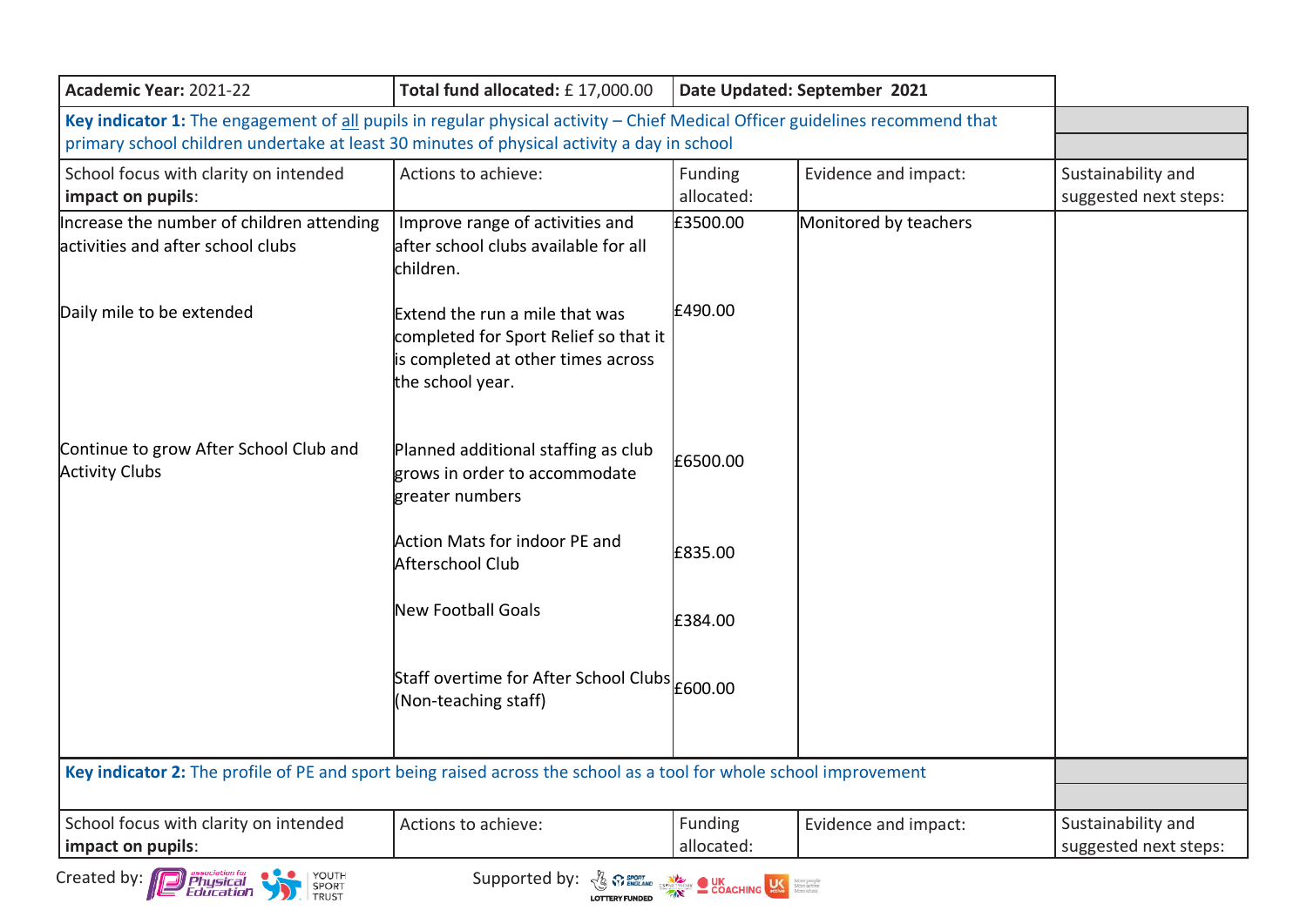| Academic Year: 2021-22                                                                                                                                                                                                     | Total fund allocated: £17,000.00                                                                                                  | Date Updated: September 2021 |                       |                                             |
|----------------------------------------------------------------------------------------------------------------------------------------------------------------------------------------------------------------------------|-----------------------------------------------------------------------------------------------------------------------------------|------------------------------|-----------------------|---------------------------------------------|
| Key indicator 1: The engagement of all pupils in regular physical activity - Chief Medical Officer guidelines recommend that<br>primary school children undertake at least 30 minutes of physical activity a day in school |                                                                                                                                   |                              |                       |                                             |
| School focus with clarity on intended<br>impact on pupils:                                                                                                                                                                 | Actions to achieve:                                                                                                               | Funding<br>allocated:        | Evidence and impact:  | Sustainability and<br>suggested next steps: |
| Increase the number of children attending<br>activities and after school clubs                                                                                                                                             | Improve range of activities and<br>lafter school clubs available for all<br>lchildren.                                            | £3500.00                     | Monitored by teachers |                                             |
| Daily mile to be extended                                                                                                                                                                                                  | Extend the run a mile that was<br>completed for Sport Relief so that it<br>is completed at other times across<br>the school year. | £490.00                      |                       |                                             |
| Continue to grow After School Club and<br><b>Activity Clubs</b>                                                                                                                                                            | Planned additional staffing as club<br>grows in order to accommodate<br>greater numbers                                           | £6500.00                     |                       |                                             |
|                                                                                                                                                                                                                            | Action Mats for indoor PE and<br>Afterschool Club                                                                                 | £835.00                      |                       |                                             |
|                                                                                                                                                                                                                            | <b>New Football Goals</b>                                                                                                         | £384.00                      |                       |                                             |
|                                                                                                                                                                                                                            | Staff overtime for After School Clubs E600.00<br>(Non-teaching staff)                                                             |                              |                       |                                             |
| Key indicator 2: The profile of PE and sport being raised across the school as a tool for whole school improvement                                                                                                         |                                                                                                                                   |                              |                       |                                             |
| School focus with clarity on intended<br>impact on pupils:                                                                                                                                                                 | Actions to achieve:                                                                                                               | Funding<br>allocated:        | Evidence and impact:  | Sustainability and<br>suggested next steps: |
| <b>D Physical</b><br>YOUTH<br>Created by:<br>Education                                                                                                                                                                     | Supported by: $\frac{1}{2}$ $\frac{1}{2}$ $\frac{1}{2}$ $\frac{1}{2}$ $\frac{1}{2}$ COACHING $\frac{1}{2}$                        |                              |                       |                                             |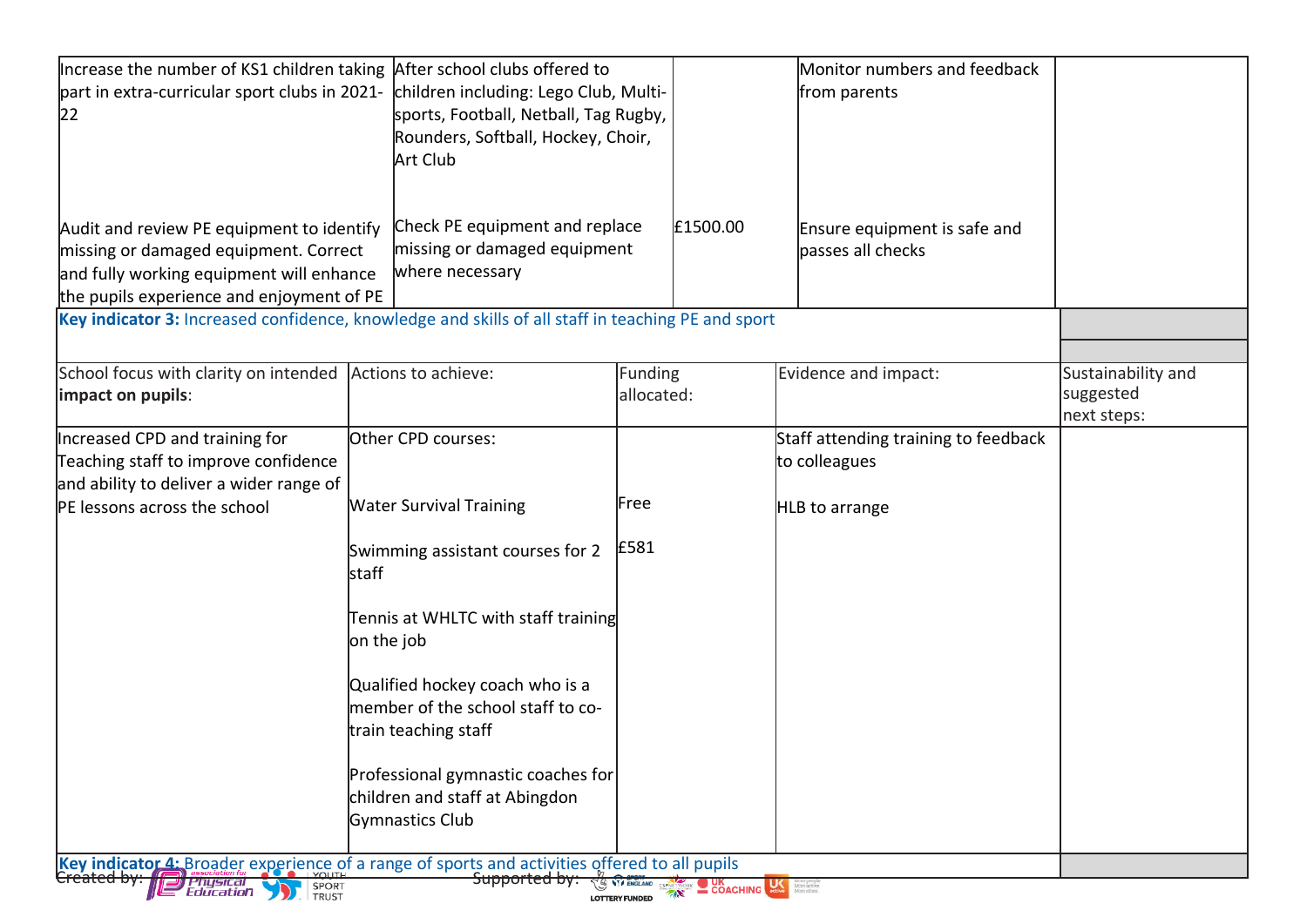| part in extra-curricular sport clubs in 2021-<br>children including: Lego Club, Multi-<br>from parents<br>sports, Football, Netball, Tag Rugby,<br>Rounders, Softball, Hockey, Choir,<br>Art Club<br>Check PE equipment and replace<br>£1500.00<br>Audit and review PE equipment to identify<br>Ensure equipment is safe and<br>missing or damaged equipment<br>missing or damaged equipment. Correct<br>basses all checks<br>where necessary<br>and fully working equipment will enhance<br>the pupils experience and enjoyment of PE<br>Key indicator 3: Increased confidence, knowledge and skills of all staff in teaching PE and sport<br>School focus with clarity on intended Actions to achieve:<br>Funding<br>Evidence and impact:<br>Sustainability and<br>suggested<br>allocated:<br>next steps:<br>Increased CPD and training for<br>Other CPD courses:<br>Staff attending training to feedback<br>Teaching staff to improve confidence<br>to colleagues<br>and ability to deliver a wider range of<br>Free<br>PE lessons across the school<br><b>Water Survival Training</b><br>HLB to arrange<br>£581<br>Swimming assistant courses for 2<br>lstaff<br>Tennis at WHLTC with staff training<br>on the job<br>Qualified hockey coach who is a<br>member of the school staff to co-<br>train teaching staff<br>Professional gymnastic coaches for<br>children and staff at Abingdon<br>Gymnastics Club<br>Key indicator 4: Broader experience of a range of sports and activities offered to all pupils<br><del>Supported by:</del><br><b>COACHING SERVER COACHING SERVER MONEY SERVER SERVER SERVER SERVER SERVER SERVER SERVER SERVER SERVER SERVER SERVER SERVER SERVER SERVER SERVER SERVER SERVER SERVER SERVER SERVER SERVER SERVER SERVER SERVER SERVER SERVER S</b> | Increase the number of KS1 children taking After school clubs offered to |  | Monitor numbers and feedback |  |
|----------------------------------------------------------------------------------------------------------------------------------------------------------------------------------------------------------------------------------------------------------------------------------------------------------------------------------------------------------------------------------------------------------------------------------------------------------------------------------------------------------------------------------------------------------------------------------------------------------------------------------------------------------------------------------------------------------------------------------------------------------------------------------------------------------------------------------------------------------------------------------------------------------------------------------------------------------------------------------------------------------------------------------------------------------------------------------------------------------------------------------------------------------------------------------------------------------------------------------------------------------------------------------------------------------------------------------------------------------------------------------------------------------------------------------------------------------------------------------------------------------------------------------------------------------------------------------------------------------------------------------------------------------------------------------------------------------------------------------------------------------------------------------------|--------------------------------------------------------------------------|--|------------------------------|--|
|                                                                                                                                                                                                                                                                                                                                                                                                                                                                                                                                                                                                                                                                                                                                                                                                                                                                                                                                                                                                                                                                                                                                                                                                                                                                                                                                                                                                                                                                                                                                                                                                                                                                                                                                                                                        |                                                                          |  |                              |  |
|                                                                                                                                                                                                                                                                                                                                                                                                                                                                                                                                                                                                                                                                                                                                                                                                                                                                                                                                                                                                                                                                                                                                                                                                                                                                                                                                                                                                                                                                                                                                                                                                                                                                                                                                                                                        | 22                                                                       |  |                              |  |
|                                                                                                                                                                                                                                                                                                                                                                                                                                                                                                                                                                                                                                                                                                                                                                                                                                                                                                                                                                                                                                                                                                                                                                                                                                                                                                                                                                                                                                                                                                                                                                                                                                                                                                                                                                                        |                                                                          |  |                              |  |
|                                                                                                                                                                                                                                                                                                                                                                                                                                                                                                                                                                                                                                                                                                                                                                                                                                                                                                                                                                                                                                                                                                                                                                                                                                                                                                                                                                                                                                                                                                                                                                                                                                                                                                                                                                                        |                                                                          |  |                              |  |
|                                                                                                                                                                                                                                                                                                                                                                                                                                                                                                                                                                                                                                                                                                                                                                                                                                                                                                                                                                                                                                                                                                                                                                                                                                                                                                                                                                                                                                                                                                                                                                                                                                                                                                                                                                                        |                                                                          |  |                              |  |
|                                                                                                                                                                                                                                                                                                                                                                                                                                                                                                                                                                                                                                                                                                                                                                                                                                                                                                                                                                                                                                                                                                                                                                                                                                                                                                                                                                                                                                                                                                                                                                                                                                                                                                                                                                                        |                                                                          |  |                              |  |
|                                                                                                                                                                                                                                                                                                                                                                                                                                                                                                                                                                                                                                                                                                                                                                                                                                                                                                                                                                                                                                                                                                                                                                                                                                                                                                                                                                                                                                                                                                                                                                                                                                                                                                                                                                                        |                                                                          |  |                              |  |
|                                                                                                                                                                                                                                                                                                                                                                                                                                                                                                                                                                                                                                                                                                                                                                                                                                                                                                                                                                                                                                                                                                                                                                                                                                                                                                                                                                                                                                                                                                                                                                                                                                                                                                                                                                                        |                                                                          |  |                              |  |
|                                                                                                                                                                                                                                                                                                                                                                                                                                                                                                                                                                                                                                                                                                                                                                                                                                                                                                                                                                                                                                                                                                                                                                                                                                                                                                                                                                                                                                                                                                                                                                                                                                                                                                                                                                                        |                                                                          |  |                              |  |
|                                                                                                                                                                                                                                                                                                                                                                                                                                                                                                                                                                                                                                                                                                                                                                                                                                                                                                                                                                                                                                                                                                                                                                                                                                                                                                                                                                                                                                                                                                                                                                                                                                                                                                                                                                                        |                                                                          |  |                              |  |
|                                                                                                                                                                                                                                                                                                                                                                                                                                                                                                                                                                                                                                                                                                                                                                                                                                                                                                                                                                                                                                                                                                                                                                                                                                                                                                                                                                                                                                                                                                                                                                                                                                                                                                                                                                                        |                                                                          |  |                              |  |
|                                                                                                                                                                                                                                                                                                                                                                                                                                                                                                                                                                                                                                                                                                                                                                                                                                                                                                                                                                                                                                                                                                                                                                                                                                                                                                                                                                                                                                                                                                                                                                                                                                                                                                                                                                                        |                                                                          |  |                              |  |
|                                                                                                                                                                                                                                                                                                                                                                                                                                                                                                                                                                                                                                                                                                                                                                                                                                                                                                                                                                                                                                                                                                                                                                                                                                                                                                                                                                                                                                                                                                                                                                                                                                                                                                                                                                                        | impact on pupils:                                                        |  |                              |  |
|                                                                                                                                                                                                                                                                                                                                                                                                                                                                                                                                                                                                                                                                                                                                                                                                                                                                                                                                                                                                                                                                                                                                                                                                                                                                                                                                                                                                                                                                                                                                                                                                                                                                                                                                                                                        |                                                                          |  |                              |  |
|                                                                                                                                                                                                                                                                                                                                                                                                                                                                                                                                                                                                                                                                                                                                                                                                                                                                                                                                                                                                                                                                                                                                                                                                                                                                                                                                                                                                                                                                                                                                                                                                                                                                                                                                                                                        |                                                                          |  |                              |  |
|                                                                                                                                                                                                                                                                                                                                                                                                                                                                                                                                                                                                                                                                                                                                                                                                                                                                                                                                                                                                                                                                                                                                                                                                                                                                                                                                                                                                                                                                                                                                                                                                                                                                                                                                                                                        |                                                                          |  |                              |  |
|                                                                                                                                                                                                                                                                                                                                                                                                                                                                                                                                                                                                                                                                                                                                                                                                                                                                                                                                                                                                                                                                                                                                                                                                                                                                                                                                                                                                                                                                                                                                                                                                                                                                                                                                                                                        |                                                                          |  |                              |  |
|                                                                                                                                                                                                                                                                                                                                                                                                                                                                                                                                                                                                                                                                                                                                                                                                                                                                                                                                                                                                                                                                                                                                                                                                                                                                                                                                                                                                                                                                                                                                                                                                                                                                                                                                                                                        |                                                                          |  |                              |  |
|                                                                                                                                                                                                                                                                                                                                                                                                                                                                                                                                                                                                                                                                                                                                                                                                                                                                                                                                                                                                                                                                                                                                                                                                                                                                                                                                                                                                                                                                                                                                                                                                                                                                                                                                                                                        |                                                                          |  |                              |  |
|                                                                                                                                                                                                                                                                                                                                                                                                                                                                                                                                                                                                                                                                                                                                                                                                                                                                                                                                                                                                                                                                                                                                                                                                                                                                                                                                                                                                                                                                                                                                                                                                                                                                                                                                                                                        |                                                                          |  |                              |  |
|                                                                                                                                                                                                                                                                                                                                                                                                                                                                                                                                                                                                                                                                                                                                                                                                                                                                                                                                                                                                                                                                                                                                                                                                                                                                                                                                                                                                                                                                                                                                                                                                                                                                                                                                                                                        |                                                                          |  |                              |  |
|                                                                                                                                                                                                                                                                                                                                                                                                                                                                                                                                                                                                                                                                                                                                                                                                                                                                                                                                                                                                                                                                                                                                                                                                                                                                                                                                                                                                                                                                                                                                                                                                                                                                                                                                                                                        |                                                                          |  |                              |  |
|                                                                                                                                                                                                                                                                                                                                                                                                                                                                                                                                                                                                                                                                                                                                                                                                                                                                                                                                                                                                                                                                                                                                                                                                                                                                                                                                                                                                                                                                                                                                                                                                                                                                                                                                                                                        |                                                                          |  |                              |  |
|                                                                                                                                                                                                                                                                                                                                                                                                                                                                                                                                                                                                                                                                                                                                                                                                                                                                                                                                                                                                                                                                                                                                                                                                                                                                                                                                                                                                                                                                                                                                                                                                                                                                                                                                                                                        |                                                                          |  |                              |  |
|                                                                                                                                                                                                                                                                                                                                                                                                                                                                                                                                                                                                                                                                                                                                                                                                                                                                                                                                                                                                                                                                                                                                                                                                                                                                                                                                                                                                                                                                                                                                                                                                                                                                                                                                                                                        |                                                                          |  |                              |  |
|                                                                                                                                                                                                                                                                                                                                                                                                                                                                                                                                                                                                                                                                                                                                                                                                                                                                                                                                                                                                                                                                                                                                                                                                                                                                                                                                                                                                                                                                                                                                                                                                                                                                                                                                                                                        |                                                                          |  |                              |  |
|                                                                                                                                                                                                                                                                                                                                                                                                                                                                                                                                                                                                                                                                                                                                                                                                                                                                                                                                                                                                                                                                                                                                                                                                                                                                                                                                                                                                                                                                                                                                                                                                                                                                                                                                                                                        |                                                                          |  |                              |  |
|                                                                                                                                                                                                                                                                                                                                                                                                                                                                                                                                                                                                                                                                                                                                                                                                                                                                                                                                                                                                                                                                                                                                                                                                                                                                                                                                                                                                                                                                                                                                                                                                                                                                                                                                                                                        |                                                                          |  |                              |  |
|                                                                                                                                                                                                                                                                                                                                                                                                                                                                                                                                                                                                                                                                                                                                                                                                                                                                                                                                                                                                                                                                                                                                                                                                                                                                                                                                                                                                                                                                                                                                                                                                                                                                                                                                                                                        |                                                                          |  |                              |  |
|                                                                                                                                                                                                                                                                                                                                                                                                                                                                                                                                                                                                                                                                                                                                                                                                                                                                                                                                                                                                                                                                                                                                                                                                                                                                                                                                                                                                                                                                                                                                                                                                                                                                                                                                                                                        |                                                                          |  |                              |  |
|                                                                                                                                                                                                                                                                                                                                                                                                                                                                                                                                                                                                                                                                                                                                                                                                                                                                                                                                                                                                                                                                                                                                                                                                                                                                                                                                                                                                                                                                                                                                                                                                                                                                                                                                                                                        |                                                                          |  |                              |  |
| <b>LOTTERY FUNDED</b>                                                                                                                                                                                                                                                                                                                                                                                                                                                                                                                                                                                                                                                                                                                                                                                                                                                                                                                                                                                                                                                                                                                                                                                                                                                                                                                                                                                                                                                                                                                                                                                                                                                                                                                                                                  | <i>Physical</i><br>Education<br>SPORT TRUST                              |  |                              |  |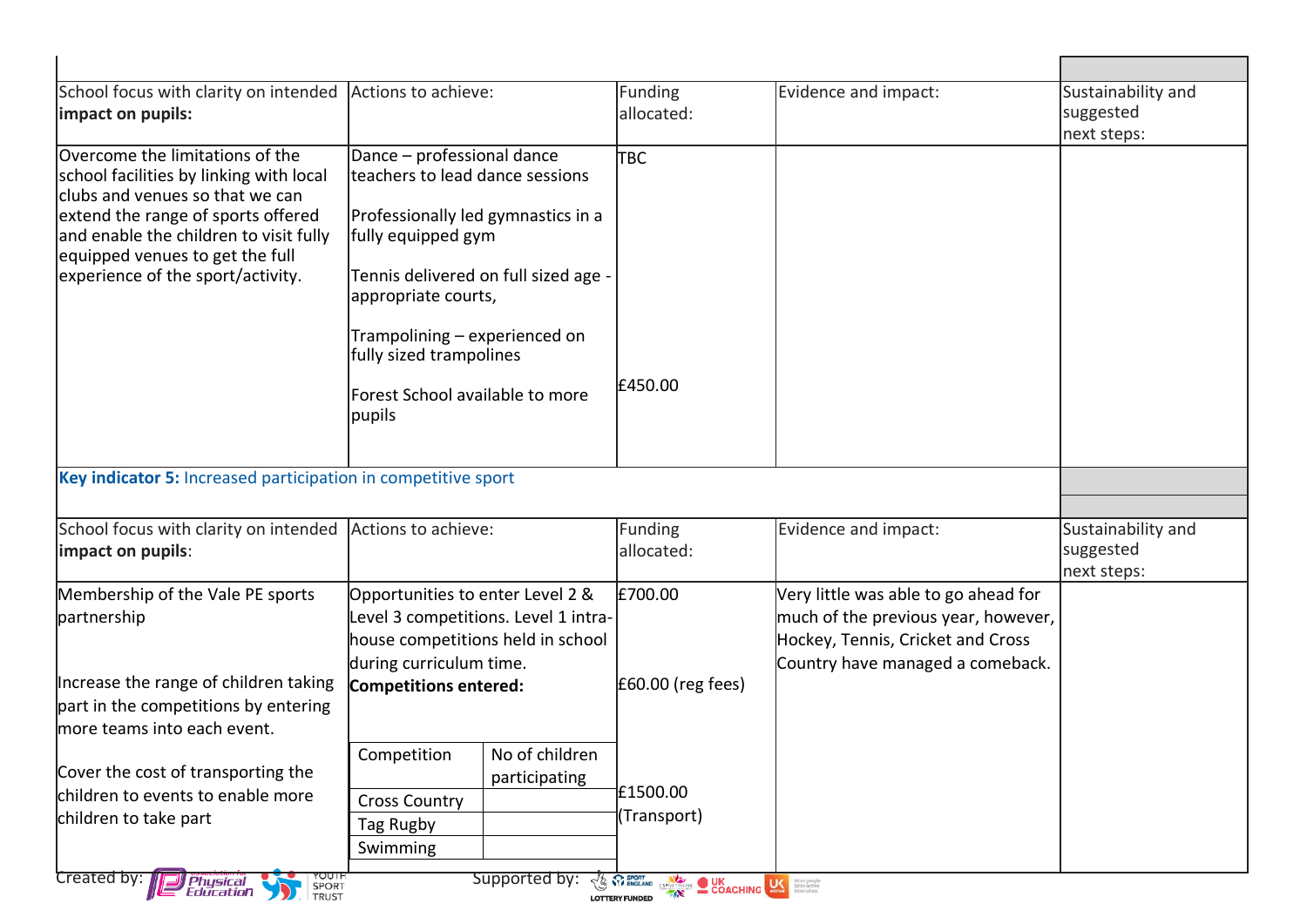| School focus with clarity on intended                                                                                                                 | Actions to achieve:                                                                                  |                                            | Funding             | Evidence and impact:                 | Sustainability and |
|-------------------------------------------------------------------------------------------------------------------------------------------------------|------------------------------------------------------------------------------------------------------|--------------------------------------------|---------------------|--------------------------------------|--------------------|
| impact on pupils:                                                                                                                                     |                                                                                                      |                                            | allocated:          |                                      | suggested          |
|                                                                                                                                                       |                                                                                                      |                                            |                     |                                      | next steps:        |
| Overcome the limitations of the                                                                                                                       | Dance - professional dance<br>lteachers to lead dance sessions<br>Professionally led gymnastics in a |                                            | Ітвс                |                                      |                    |
| school facilities by linking with local<br>clubs and venues so that we can                                                                            |                                                                                                      |                                            |                     |                                      |                    |
| extend the range of sports offered                                                                                                                    |                                                                                                      |                                            |                     |                                      |                    |
| and enable the children to visit fully<br>equipped venues to get the full                                                                             | fully equipped gym                                                                                   |                                            |                     |                                      |                    |
| experience of the sport/activity.                                                                                                                     | appropriate courts,                                                                                  | Tennis delivered on full sized age -       |                     |                                      |                    |
|                                                                                                                                                       |                                                                                                      |                                            |                     |                                      |                    |
|                                                                                                                                                       | Trampolining - experienced on                                                                        |                                            |                     |                                      |                    |
|                                                                                                                                                       |                                                                                                      | fully sized trampolines                    |                     |                                      |                    |
|                                                                                                                                                       |                                                                                                      | £450.00<br>Forest School available to more |                     |                                      |                    |
|                                                                                                                                                       | pupils                                                                                               |                                            |                     |                                      |                    |
|                                                                                                                                                       |                                                                                                      |                                            |                     |                                      |                    |
|                                                                                                                                                       |                                                                                                      |                                            |                     |                                      |                    |
| Key indicator 5: Increased participation in competitive sport                                                                                         |                                                                                                      |                                            |                     |                                      |                    |
|                                                                                                                                                       |                                                                                                      |                                            |                     |                                      |                    |
| School focus with clarity on intended                                                                                                                 | Actions to achieve:                                                                                  |                                            | Funding             | Evidence and impact:                 | Sustainability and |
|                                                                                                                                                       |                                                                                                      |                                            | allocated:          |                                      | suggested          |
|                                                                                                                                                       | Opportunities to enter Level 2 &                                                                     |                                            | E700.00             | Very little was able to go ahead for | next steps:        |
|                                                                                                                                                       |                                                                                                      | Level 3 competitions. Level 1 intra-       |                     | much of the previous year, however,  |                    |
|                                                                                                                                                       |                                                                                                      | house competitions held in school          |                     | Hockey, Tennis, Cricket and Cross    |                    |
|                                                                                                                                                       | during curriculum time.                                                                              |                                            |                     | Country have managed a comeback.     |                    |
|                                                                                                                                                       | <b>Competitions entered:</b>                                                                         |                                            | $E60.00$ (reg fees) |                                      |                    |
| impact on pupils:<br>Membership of the Vale PE sports<br>partnership<br>Increase the range of children taking<br>part in the competitions by entering |                                                                                                      |                                            |                     |                                      |                    |
| more teams into each event.                                                                                                                           |                                                                                                      |                                            |                     |                                      |                    |
| Cover the cost of transporting the                                                                                                                    | Competition                                                                                          | No of children                             |                     |                                      |                    |
| children to events to enable more                                                                                                                     | <b>Cross Country</b>                                                                                 | participating                              | £1500.00            |                                      |                    |
| children to take part                                                                                                                                 | Tag Rugby                                                                                            |                                            | (Transport)         |                                      |                    |
|                                                                                                                                                       | Swimming                                                                                             |                                            |                     |                                      |                    |